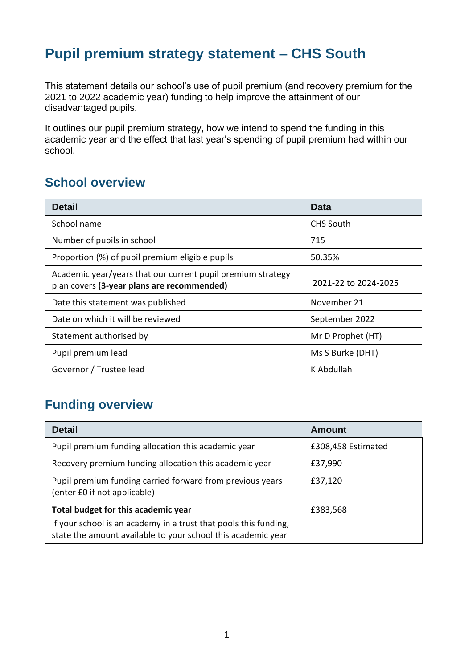# **Pupil premium strategy statement – CHS South**

This statement details our school's use of pupil premium (and recovery premium for the 2021 to 2022 academic year) funding to help improve the attainment of our disadvantaged pupils.

It outlines our pupil premium strategy, how we intend to spend the funding in this academic year and the effect that last year's spending of pupil premium had within our school.

### **School overview**

| <b>Detail</b>                                                                                             | Data                 |
|-----------------------------------------------------------------------------------------------------------|----------------------|
| School name                                                                                               | <b>CHS South</b>     |
| Number of pupils in school                                                                                | 715                  |
| Proportion (%) of pupil premium eligible pupils                                                           | 50.35%               |
| Academic year/years that our current pupil premium strategy<br>plan covers (3-year plans are recommended) | 2021-22 to 2024-2025 |
| Date this statement was published                                                                         | November 21          |
| Date on which it will be reviewed                                                                         | September 2022       |
| Statement authorised by                                                                                   | Mr D Prophet (HT)    |
| Pupil premium lead                                                                                        | Ms S Burke (DHT)     |
| Governor / Trustee lead                                                                                   | K Abdullah           |

## **Funding overview**

| <b>Detail</b>                                                                                                                    | Amount             |
|----------------------------------------------------------------------------------------------------------------------------------|--------------------|
| Pupil premium funding allocation this academic year                                                                              | £308,458 Estimated |
| Recovery premium funding allocation this academic year                                                                           | £37,990            |
| Pupil premium funding carried forward from previous years<br>(enter £0 if not applicable)                                        | £37,120            |
| Total budget for this academic year                                                                                              | £383,568           |
| If your school is an academy in a trust that pools this funding,<br>state the amount available to your school this academic year |                    |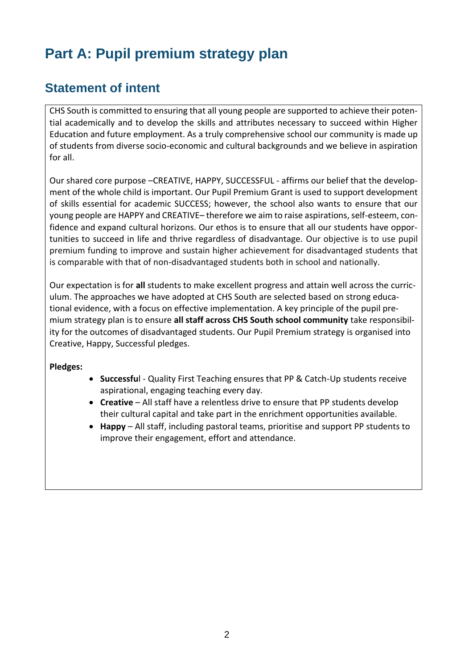# **Part A: Pupil premium strategy plan**

## **Statement of intent**

CHS South is committed to ensuring that all young people are supported to achieve their potential academically and to develop the skills and attributes necessary to succeed within Higher Education and future employment. As a truly comprehensive school our community is made up of students from diverse socio-economic and cultural backgrounds and we believe in aspiration for all.

Our shared core purpose –CREATIVE, HAPPY, SUCCESSFUL - affirms our belief that the development of the whole child is important. Our Pupil Premium Grant is used to support development of skills essential for academic SUCCESS; however, the school also wants to ensure that our young people are HAPPY and CREATIVE– therefore we aim to raise aspirations, self-esteem, confidence and expand cultural horizons. Our ethos is to ensure that all our students have opportunities to succeed in life and thrive regardless of disadvantage. Our objective is to use pupil premium funding to improve and sustain higher achievement for disadvantaged students that is comparable with that of non-disadvantaged students both in school and nationally.

Our expectation is for **all** students to make excellent progress and attain well across the curriculum. The approaches we have adopted at CHS South are selected based on strong educational evidence, with a focus on effective implementation. A key principle of the pupil premium strategy plan is to ensure **all staff across CHS South school community** take responsibility for the outcomes of disadvantaged students. Our Pupil Premium strategy is organised into Creative, Happy, Successful pledges.

#### **Pledges:**

- **Successfu**l Quality First Teaching ensures that PP & Catch-Up students receive aspirational, engaging teaching every day.
- **Creative** All staff have a relentless drive to ensure that PP students develop their cultural capital and take part in the enrichment opportunities available.
- **Happy**  All staff, including pastoral teams, prioritise and support PP students to improve their engagement, effort and attendance.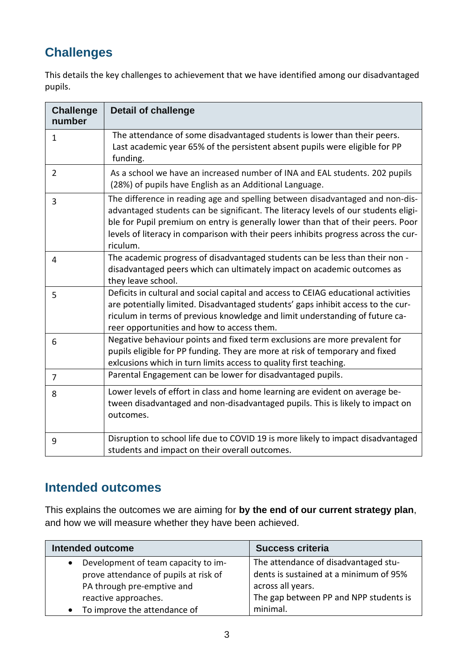# **Challenges**

This details the key challenges to achievement that we have identified among our disadvantaged pupils.

| <b>Challenge</b><br>number | <b>Detail of challenge</b>                                                                                                                                                                                                                                                                                                                                 |
|----------------------------|------------------------------------------------------------------------------------------------------------------------------------------------------------------------------------------------------------------------------------------------------------------------------------------------------------------------------------------------------------|
| 1                          | The attendance of some disadvantaged students is lower than their peers.<br>Last academic year 65% of the persistent absent pupils were eligible for PP<br>funding.                                                                                                                                                                                        |
| $\overline{2}$             | As a school we have an increased number of INA and EAL students. 202 pupils<br>(28%) of pupils have English as an Additional Language.                                                                                                                                                                                                                     |
| 3                          | The difference in reading age and spelling between disadvantaged and non-dis-<br>advantaged students can be significant. The literacy levels of our students eligi-<br>ble for Pupil premium on entry is generally lower than that of their peers. Poor<br>levels of literacy in comparison with their peers inhibits progress across the cur-<br>riculum. |
| 4                          | The academic progress of disadvantaged students can be less than their non -<br>disadvantaged peers which can ultimately impact on academic outcomes as<br>they leave school.                                                                                                                                                                              |
| 5                          | Deficits in cultural and social capital and access to CEIAG educational activities<br>are potentially limited. Disadvantaged students' gaps inhibit access to the cur-<br>riculum in terms of previous knowledge and limit understanding of future ca-<br>reer opportunities and how to access them.                                                       |
| 6                          | Negative behaviour points and fixed term exclusions are more prevalent for<br>pupils eligible for PP funding. They are more at risk of temporary and fixed<br>exlcusions which in turn limits access to quality first teaching.                                                                                                                            |
| 7                          | Parental Engagement can be lower for disadvantaged pupils.                                                                                                                                                                                                                                                                                                 |
| 8                          | Lower levels of effort in class and home learning are evident on average be-<br>tween disadvantaged and non-disadvantaged pupils. This is likely to impact on<br>outcomes.                                                                                                                                                                                 |
| 9                          | Disruption to school life due to COVID 19 is more likely to impact disadvantaged<br>students and impact on their overall outcomes.                                                                                                                                                                                                                         |

## **Intended outcomes**

This explains the outcomes we are aiming for **by the end of our current strategy plan**, and how we will measure whether they have been achieved.

| <b>Intended outcome</b>                          | <b>Success criteria</b>                |
|--------------------------------------------------|----------------------------------------|
| Development of team capacity to im-<br>$\bullet$ | The attendance of disadvantaged stu-   |
| prove attendance of pupils at risk of            | dents is sustained at a minimum of 95% |
| PA through pre-emptive and                       | across all years.                      |
| reactive approaches.                             | The gap between PP and NPP students is |
| To improve the attendance of<br>$\bullet$        | minimal.                               |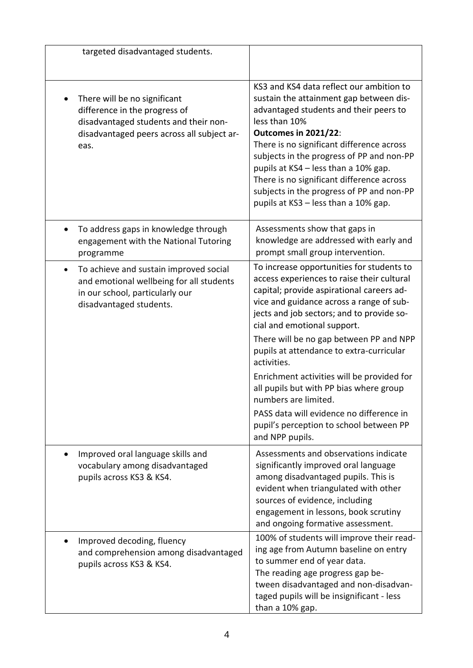| targeted disadvantaged students.                                                                                                                              |                                                                                                                                                                                                                                                                                                                                                                                                                                                                                                                                                                                               |
|---------------------------------------------------------------------------------------------------------------------------------------------------------------|-----------------------------------------------------------------------------------------------------------------------------------------------------------------------------------------------------------------------------------------------------------------------------------------------------------------------------------------------------------------------------------------------------------------------------------------------------------------------------------------------------------------------------------------------------------------------------------------------|
| There will be no significant<br>difference in the progress of<br>disadvantaged students and their non-<br>disadvantaged peers across all subject ar-<br>eas.  | KS3 and KS4 data reflect our ambition to<br>sustain the attainment gap between dis-<br>advantaged students and their peers to<br>less than 10%<br><b>Outcomes in 2021/22:</b><br>There is no significant difference across<br>subjects in the progress of PP and non-PP<br>pupils at KS4 - less than a 10% gap.<br>There is no significant difference across<br>subjects in the progress of PP and non-PP<br>pupils at KS3 - less than a 10% gap.                                                                                                                                             |
| To address gaps in knowledge through<br>$\bullet$<br>engagement with the National Tutoring<br>programme                                                       | Assessments show that gaps in<br>knowledge are addressed with early and<br>prompt small group intervention.                                                                                                                                                                                                                                                                                                                                                                                                                                                                                   |
| To achieve and sustain improved social<br>$\bullet$<br>and emotional wellbeing for all students<br>in our school, particularly our<br>disadvantaged students. | To increase opportunities for students to<br>access experiences to raise their cultural<br>capital; provide aspirational careers ad-<br>vice and guidance across a range of sub-<br>jects and job sectors; and to provide so-<br>cial and emotional support.<br>There will be no gap between PP and NPP<br>pupils at attendance to extra-curricular<br>activities.<br>Enrichment activities will be provided for<br>all pupils but with PP bias where group<br>numbers are limited.<br>PASS data will evidence no difference in<br>pupil's perception to school between PP<br>and NPP pupils. |
| Improved oral language skills and<br>vocabulary among disadvantaged<br>pupils across KS3 & KS4.                                                               | Assessments and observations indicate<br>significantly improved oral language<br>among disadvantaged pupils. This is<br>evident when triangulated with other<br>sources of evidence, including<br>engagement in lessons, book scrutiny<br>and ongoing formative assessment.                                                                                                                                                                                                                                                                                                                   |
| Improved decoding, fluency<br>and comprehension among disadvantaged<br>pupils across KS3 & KS4.                                                               | 100% of students will improve their read-<br>ing age from Autumn baseline on entry<br>to summer end of year data.<br>The reading age progress gap be-<br>tween disadvantaged and non-disadvan-<br>taged pupils will be insignificant - less<br>than a 10% gap.                                                                                                                                                                                                                                                                                                                                |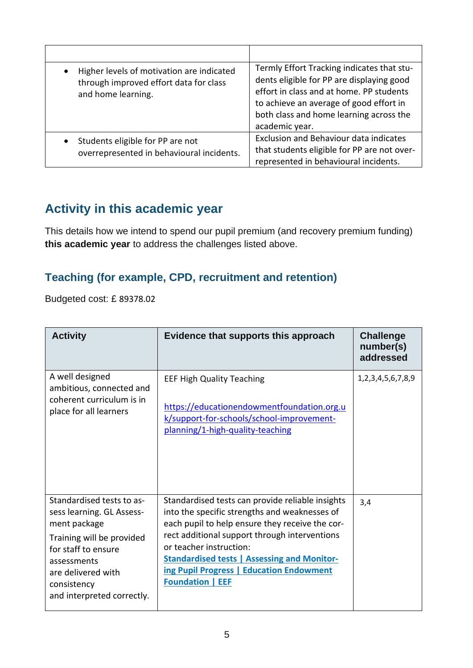| Higher levels of motivation are indicated<br>$\bullet$<br>through improved effort data for class<br>and home learning. | Termly Effort Tracking indicates that stu-<br>dents eligible for PP are displaying good<br>effort in class and at home. PP students<br>to achieve an average of good effort in<br>both class and home learning across the<br>academic year. |
|------------------------------------------------------------------------------------------------------------------------|---------------------------------------------------------------------------------------------------------------------------------------------------------------------------------------------------------------------------------------------|
| Students eligible for PP are not<br>$\bullet$<br>overrepresented in behavioural incidents.                             | Exclusion and Behaviour data indicates<br>that students eligible for PP are not over-<br>represented in behavioural incidents.                                                                                                              |

## **Activity in this academic year**

This details how we intend to spend our pupil premium (and recovery premium funding) **this academic year** to address the challenges listed above.

#### **Teaching (for example, CPD, recruitment and retention)**

Budgeted cost: £ 89378.02

| <b>Activity</b>                                                                                                                                                                                              | Evidence that supports this approach                                                                                                                                                                                                                                                                                                                          | <b>Challenge</b><br>number(s)<br>addressed |
|--------------------------------------------------------------------------------------------------------------------------------------------------------------------------------------------------------------|---------------------------------------------------------------------------------------------------------------------------------------------------------------------------------------------------------------------------------------------------------------------------------------------------------------------------------------------------------------|--------------------------------------------|
| A well designed<br>ambitious, connected and<br>coherent curriculum is in<br>place for all learners                                                                                                           | <b>EEF High Quality Teaching</b><br>https://educationendowmentfoundation.org.u<br>k/support-for-schools/school-improvement-<br>planning/1-high-quality-teaching                                                                                                                                                                                               | 1,2,3,4,5,6,7,8,9                          |
| Standardised tests to as-<br>sess learning. GL Assess-<br>ment package<br>Training will be provided<br>for staff to ensure<br>assessments<br>are delivered with<br>consistency<br>and interpreted correctly. | Standardised tests can provide reliable insights<br>into the specific strengths and weaknesses of<br>each pupil to help ensure they receive the cor-<br>rect additional support through interventions<br>or teacher instruction:<br><b>Standardised tests   Assessing and Monitor-</b><br>ing Pupil Progress   Education Endowment<br><b>Foundation   EEF</b> | 3,4                                        |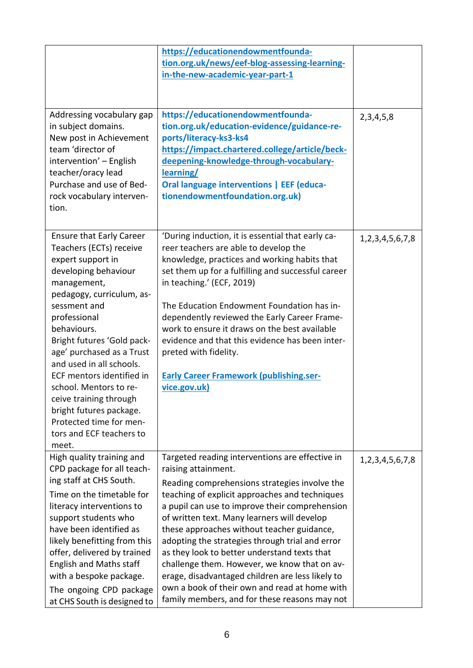|                                                                                                                                                                                                                                                                                                                                                                                                                                                                       | https://educationendowmentfounda-<br>tion.org.uk/news/eef-blog-assessing-learning-<br>in-the-new-academic-year-part-1                                                                                                                                                                                                                                                                                                                                                                                                                                                                                                             |                        |
|-----------------------------------------------------------------------------------------------------------------------------------------------------------------------------------------------------------------------------------------------------------------------------------------------------------------------------------------------------------------------------------------------------------------------------------------------------------------------|-----------------------------------------------------------------------------------------------------------------------------------------------------------------------------------------------------------------------------------------------------------------------------------------------------------------------------------------------------------------------------------------------------------------------------------------------------------------------------------------------------------------------------------------------------------------------------------------------------------------------------------|------------------------|
| Addressing vocabulary gap<br>in subject domains.<br>New post in Achievement<br>team 'director of<br>intervention' - English<br>teacher/oracy lead<br>Purchase and use of Bed-<br>rock vocabulary interven-<br>tion.                                                                                                                                                                                                                                                   | https://educationendowmentfounda-<br>tion.org.uk/education-evidence/guidance-re-<br>ports/literacy-ks3-ks4<br>https://impact.chartered.college/article/beck-<br>deepening-knowledge-through-vocabulary-<br>learning/<br><b>Oral language interventions   EEF (educa-</b><br>tionendowmentfoundation.org.uk)                                                                                                                                                                                                                                                                                                                       | 2, 3, 4, 5, 8          |
| <b>Ensure that Early Career</b><br>Teachers (ECTs) receive<br>expert support in<br>developing behaviour<br>management,<br>pedagogy, curriculum, as-<br>sessment and<br>professional<br>behaviours.<br>Bright futures 'Gold pack-<br>age' purchased as a Trust<br>and used in all schools.<br>ECF mentors identified in<br>school. Mentors to re-<br>ceive training through<br>bright futures package.<br>Protected time for men-<br>tors and ECF teachers to<br>meet. | 'During induction, it is essential that early ca-<br>reer teachers are able to develop the<br>knowledge, practices and working habits that<br>set them up for a fulfilling and successful career<br>in teaching.' (ECF, 2019)<br>The Education Endowment Foundation has in-<br>dependently reviewed the Early Career Frame-<br>work to ensure it draws on the best available<br>evidence and that this evidence has been inter-<br>preted with fidelity.<br><b>Early Career Framework (publishing.ser-</b><br>vice.gov.uk)                                                                                                        | 1, 2, 3, 4, 5, 6, 7, 8 |
| High quality training and<br>CPD package for all teach-<br>ing staff at CHS South.<br>Time on the timetable for<br>literacy interventions to<br>support students who<br>have been identified as<br>likely benefitting from this<br>offer, delivered by trained<br><b>English and Maths staff</b><br>with a bespoke package.<br>The ongoing CPD package<br>at CHS South is designed to                                                                                 | Targeted reading interventions are effective in<br>raising attainment.<br>Reading comprehensions strategies involve the<br>teaching of explicit approaches and techniques<br>a pupil can use to improve their comprehension<br>of written text. Many learners will develop<br>these approaches without teacher guidance,<br>adopting the strategies through trial and error<br>as they look to better understand texts that<br>challenge them. However, we know that on av-<br>erage, disadvantaged children are less likely to<br>own a book of their own and read at home with<br>family members, and for these reasons may not | 1, 2, 3, 4, 5, 6, 7, 8 |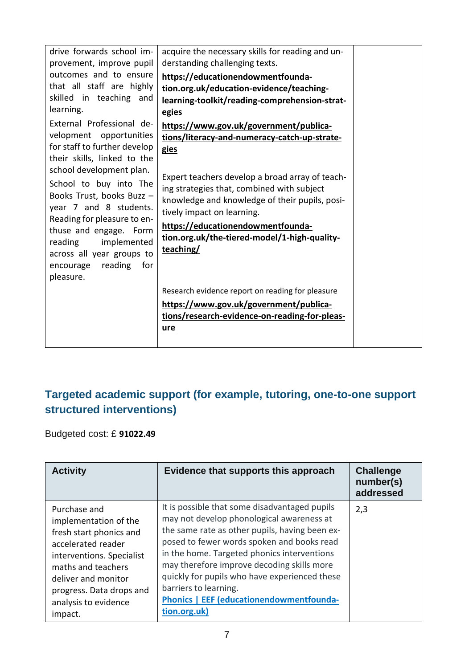| drive forwards school im-<br>provement, improve pupil                                                                                                 | acquire the necessary skills for reading and un-<br>derstanding challenging texts.                                                                                            |  |
|-------------------------------------------------------------------------------------------------------------------------------------------------------|-------------------------------------------------------------------------------------------------------------------------------------------------------------------------------|--|
| outcomes and to ensure<br>that all staff are highly<br>skilled in teaching and<br>learning.                                                           | https://educationendowmentfounda-<br>tion.org.uk/education-evidence/teaching-<br>learning-toolkit/reading-comprehension-strat-<br>egies                                       |  |
| External Professional de-<br>velopment opportunities<br>for staff to further develop<br>their skills, linked to the                                   | https://www.gov.uk/government/publica-<br>tions/literacy-and-numeracy-catch-up-strate-<br>gies                                                                                |  |
| school development plan.<br>School to buy into The<br>Books Trust, books Buzz -<br>year 7 and 8 students.                                             | Expert teachers develop a broad array of teach-<br>ing strategies that, combined with subject<br>knowledge and knowledge of their pupils, posi-<br>tively impact on learning. |  |
| Reading for pleasure to en-<br>thuse and engage. Form<br>implemented<br>reading<br>across all year groups to<br>encourage reading<br>for<br>pleasure. | https://educationendowmentfounda-<br>tion.org.uk/the-tiered-model/1-high-quality-<br>teaching/                                                                                |  |
|                                                                                                                                                       | Research evidence report on reading for pleasure<br>https://www.gov.uk/government/publica-<br>tions/research-evidence-on-reading-for-pleas-<br>ure                            |  |

## **Targeted academic support (for example, tutoring, one-to-one support structured interventions)**

Budgeted cost: £ **91022.49**

| <b>Activity</b>                                                                                                                                                                                                                 | Evidence that supports this approach                                                                                                                                                                                                                                                                                                                                                                                                 | <b>Challenge</b><br>number(s)<br>addressed |
|---------------------------------------------------------------------------------------------------------------------------------------------------------------------------------------------------------------------------------|--------------------------------------------------------------------------------------------------------------------------------------------------------------------------------------------------------------------------------------------------------------------------------------------------------------------------------------------------------------------------------------------------------------------------------------|--------------------------------------------|
| Purchase and<br>implementation of the<br>fresh start phonics and<br>accelerated reader<br>interventions. Specialist<br>maths and teachers<br>deliver and monitor<br>progress. Data drops and<br>analysis to evidence<br>impact. | It is possible that some disadvantaged pupils<br>may not develop phonological awareness at<br>the same rate as other pupils, having been ex-<br>posed to fewer words spoken and books read<br>in the home. Targeted phonics interventions<br>may therefore improve decoding skills more<br>quickly for pupils who have experienced these<br>barriers to learning.<br><b>Phonics   EEF (educationendowmentfounda-</b><br>tion.org.uk) | 2,3                                        |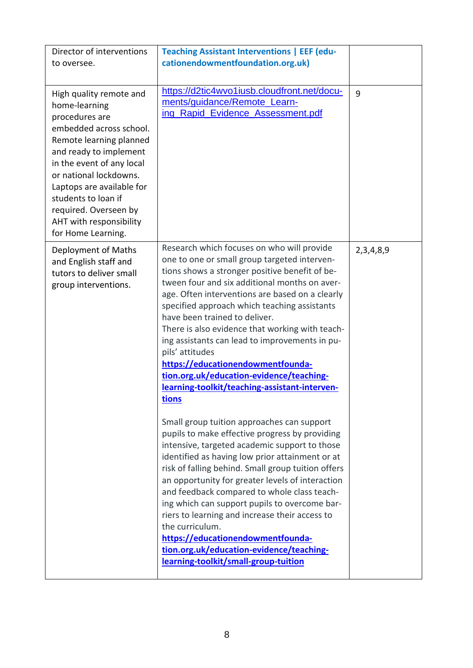| Director of interventions<br>to oversee.                                                                                                                                                                                                                                                                                        | <b>Teaching Assistant Interventions   EEF (edu-</b><br>cationendowmentfoundation.org.uk)                                                                                                                                                                                                                                                                                                                                                                                                                                                                                                                 |           |
|---------------------------------------------------------------------------------------------------------------------------------------------------------------------------------------------------------------------------------------------------------------------------------------------------------------------------------|----------------------------------------------------------------------------------------------------------------------------------------------------------------------------------------------------------------------------------------------------------------------------------------------------------------------------------------------------------------------------------------------------------------------------------------------------------------------------------------------------------------------------------------------------------------------------------------------------------|-----------|
| High quality remote and<br>home-learning<br>procedures are<br>embedded across school.<br>Remote learning planned<br>and ready to implement<br>in the event of any local<br>or national lockdowns.<br>Laptops are available for<br>students to loan if<br>required. Overseen by<br>AHT with responsibility<br>for Home Learning. | https://d2tic4wvo1iusb.cloudfront.net/docu-<br>ments/guidance/Remote_Learn-<br>ing Rapid Evidence Assessment.pdf                                                                                                                                                                                                                                                                                                                                                                                                                                                                                         | 9         |
| Deployment of Maths<br>and English staff and<br>tutors to deliver small<br>group interventions.                                                                                                                                                                                                                                 | Research which focuses on who will provide<br>one to one or small group targeted interven-<br>tions shows a stronger positive benefit of be-<br>tween four and six additional months on aver-<br>age. Often interventions are based on a clearly<br>specified approach which teaching assistants<br>have been trained to deliver.<br>There is also evidence that working with teach-<br>ing assistants can lead to improvements in pu-<br>pils' attitudes<br>https://educationendowmentfounda-<br>tion.org.uk/education-evidence/teaching-<br>learning-toolkit/teaching-assistant-interven-<br>tions     | 2,3,4,8,9 |
|                                                                                                                                                                                                                                                                                                                                 | Small group tuition approaches can support<br>pupils to make effective progress by providing<br>intensive, targeted academic support to those<br>identified as having low prior attainment or at<br>risk of falling behind. Small group tuition offers<br>an opportunity for greater levels of interaction<br>and feedback compared to whole class teach-<br>ing which can support pupils to overcome bar-<br>riers to learning and increase their access to<br>the curriculum.<br>https://educationendowmentfounda-<br>tion.org.uk/education-evidence/teaching-<br>learning-toolkit/small-group-tuition |           |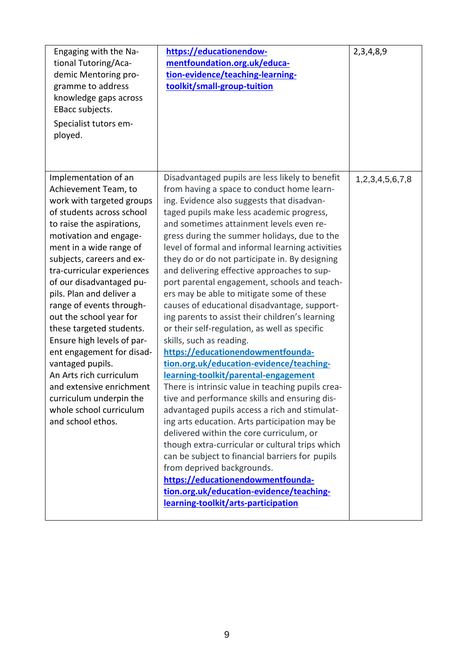| Engaging with the Na-<br>tional Tutoring/Aca-<br>demic Mentoring pro-<br>gramme to address<br>knowledge gaps across<br>EBacc subjects.<br>Specialist tutors em-<br>ployed.                                                                                                                                                                                                                                                                                                                                                                                                                                      | https://educationendow-<br>mentfoundation.org.uk/educa-<br>tion-evidence/teaching-learning-<br>toolkit/small-group-tuition                                                                                                                                                                                                                                                                                                                                                                                                                                                                                                                                                                                                                                                                                                                                                                                                                                                                                                                                                                                                                                                                                                                                                                                                                                      | 2,3,4,8,9       |
|-----------------------------------------------------------------------------------------------------------------------------------------------------------------------------------------------------------------------------------------------------------------------------------------------------------------------------------------------------------------------------------------------------------------------------------------------------------------------------------------------------------------------------------------------------------------------------------------------------------------|-----------------------------------------------------------------------------------------------------------------------------------------------------------------------------------------------------------------------------------------------------------------------------------------------------------------------------------------------------------------------------------------------------------------------------------------------------------------------------------------------------------------------------------------------------------------------------------------------------------------------------------------------------------------------------------------------------------------------------------------------------------------------------------------------------------------------------------------------------------------------------------------------------------------------------------------------------------------------------------------------------------------------------------------------------------------------------------------------------------------------------------------------------------------------------------------------------------------------------------------------------------------------------------------------------------------------------------------------------------------|-----------------|
| Implementation of an<br>Achievement Team, to<br>work with targeted groups<br>of students across school<br>to raise the aspirations,<br>motivation and engage-<br>ment in a wide range of<br>subjects, careers and ex-<br>tra-curricular experiences<br>of our disadvantaged pu-<br>pils. Plan and deliver a<br>range of events through-<br>out the school year for<br>these targeted students.<br>Ensure high levels of par-<br>ent engagement for disad-<br>vantaged pupils.<br>An Arts rich curriculum<br>and extensive enrichment<br>curriculum underpin the<br>whole school curriculum<br>and school ethos. | Disadvantaged pupils are less likely to benefit<br>from having a space to conduct home learn-<br>ing. Evidence also suggests that disadvan-<br>taged pupils make less academic progress,<br>and sometimes attainment levels even re-<br>gress during the summer holidays, due to the<br>level of formal and informal learning activities<br>they do or do not participate in. By designing<br>and delivering effective approaches to sup-<br>port parental engagement, schools and teach-<br>ers may be able to mitigate some of these<br>causes of educational disadvantage, support-<br>ing parents to assist their children's learning<br>or their self-regulation, as well as specific<br>skills, such as reading.<br>https://educationendowmentfounda-<br>tion.org.uk/education-evidence/teaching-<br>learning-toolkit/parental-engagement<br>There is intrinsic value in teaching pupils crea-<br>tive and performance skills and ensuring dis-<br>advantaged pupils access a rich and stimulat-<br>ing arts education. Arts participation may be<br>delivered within the core curriculum, or<br>though extra-curricular or cultural trips which<br>can be subject to financial barriers for pupils<br>from deprived backgrounds.<br>https://educationendowmentfounda-<br>tion.org.uk/education-evidence/teaching-<br>learning-toolkit/arts-participation | 1,2,3,4,5,6,7,8 |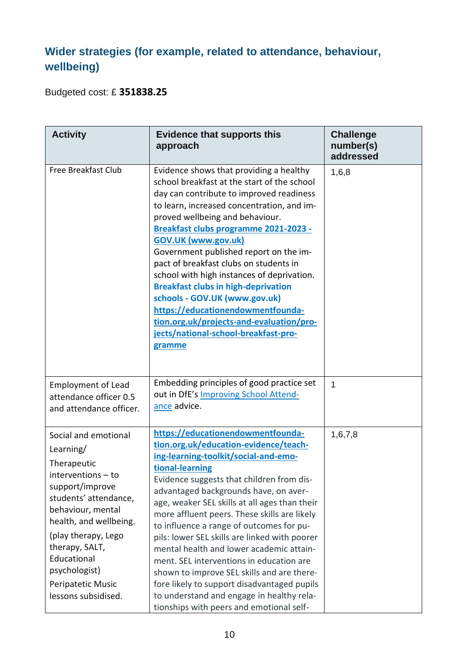## **Wider strategies (for example, related to attendance, behaviour, wellbeing)**

Budgeted cost: £ **351838.25**

| <b>Activity</b>                                                                                                                                                                                                                                                                        | <b>Evidence that supports this</b><br>approach                                                                                                                                                                                                                                                                                                                                                                                                                                                                                                                                                                                                                                                          | <b>Challenge</b><br>number(s)<br>addressed |
|----------------------------------------------------------------------------------------------------------------------------------------------------------------------------------------------------------------------------------------------------------------------------------------|---------------------------------------------------------------------------------------------------------------------------------------------------------------------------------------------------------------------------------------------------------------------------------------------------------------------------------------------------------------------------------------------------------------------------------------------------------------------------------------------------------------------------------------------------------------------------------------------------------------------------------------------------------------------------------------------------------|--------------------------------------------|
| Free Breakfast Club                                                                                                                                                                                                                                                                    | Evidence shows that providing a healthy<br>school breakfast at the start of the school<br>day can contribute to improved readiness<br>to learn, increased concentration, and im-<br>proved wellbeing and behaviour.<br>Breakfast clubs programme 2021-2023 -<br><b>GOV.UK (www.gov.uk)</b><br>Government published report on the im-<br>pact of breakfast clubs on students in<br>school with high instances of deprivation.<br><b>Breakfast clubs in high-deprivation</b><br>schools - GOV.UK (www.gov.uk)<br>https://educationendowmentfounda-<br>tion.org.uk/projects-and-evaluation/pro-<br>jects/national-school-breakfast-pro-<br>gramme                                                          | 1,6,8                                      |
| <b>Employment of Lead</b><br>attendance officer 0.5<br>and attendance officer.                                                                                                                                                                                                         | Embedding principles of good practice set<br>out in DfE's Improving School Attend-<br>ance advice.                                                                                                                                                                                                                                                                                                                                                                                                                                                                                                                                                                                                      | $\mathbf{1}$                               |
| Social and emotional<br>Learning/<br>Therapeutic<br>interventions - to<br>support/improve<br>students' attendance,<br>behaviour, mental<br>health, and wellbeing.<br>(play therapy, Lego<br>therapy, SALT,<br>Educational<br>psychologist)<br>Peripatetic Music<br>lessons subsidised. | https://educationendowmentfounda-<br>tion.org.uk/education-evidence/teach-<br>ing-learning-toolkit/social-and-emo-<br>tional-learning<br>Evidence suggests that children from dis-<br>advantaged backgrounds have, on aver-<br>age, weaker SEL skills at all ages than their<br>more affluent peers. These skills are likely<br>to influence a range of outcomes for pu-<br>pils: lower SEL skills are linked with poorer<br>mental health and lower academic attain-<br>ment. SEL interventions in education are<br>shown to improve SEL skills and are there-<br>fore likely to support disadvantaged pupils<br>to understand and engage in healthy rela-<br>tionships with peers and emotional self- | 1,6,7,8                                    |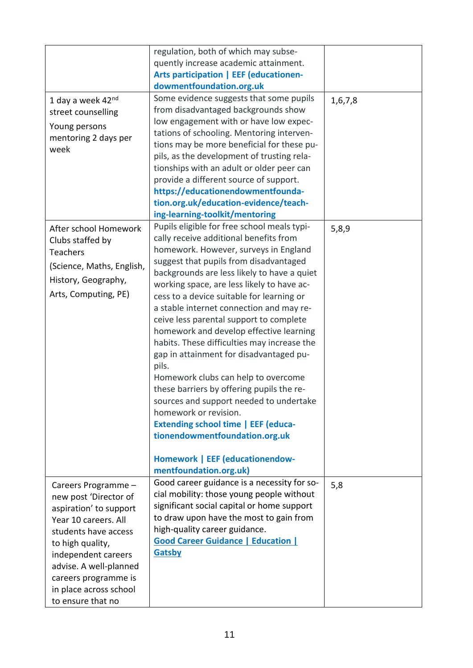|                           | regulation, both of which may subse-                             |         |
|---------------------------|------------------------------------------------------------------|---------|
|                           | quently increase academic attainment.                            |         |
|                           | <b>Arts participation   EEF (educationen-</b>                    |         |
|                           | dowmentfoundation.org.uk                                         |         |
| 1 day a week 42nd         | Some evidence suggests that some pupils                          | 1,6,7,8 |
| street counselling        | from disadvantaged backgrounds show                              |         |
|                           | low engagement with or have low expec-                           |         |
| Young persons             | tations of schooling. Mentoring interven-                        |         |
| mentoring 2 days per      | tions may be more beneficial for these pu-                       |         |
| week                      | pils, as the development of trusting rela-                       |         |
|                           | tionships with an adult or older peer can                        |         |
|                           | provide a different source of support.                           |         |
|                           | https://educationendowmentfounda-                                |         |
|                           |                                                                  |         |
|                           | tion.org.uk/education-evidence/teach-                            |         |
|                           | ing-learning-toolkit/mentoring                                   |         |
| After school Homework     | Pupils eligible for free school meals typi-                      | 5,8,9   |
| Clubs staffed by          | cally receive additional benefits from                           |         |
| <b>Teachers</b>           | homework. However, surveys in England                            |         |
| (Science, Maths, English, | suggest that pupils from disadvantaged                           |         |
|                           | backgrounds are less likely to have a quiet                      |         |
| History, Geography,       | working space, are less likely to have ac-                       |         |
| Arts, Computing, PE)      | cess to a device suitable for learning or                        |         |
|                           | a stable internet connection and may re-                         |         |
|                           | ceive less parental support to complete                          |         |
|                           | homework and develop effective learning                          |         |
|                           | habits. These difficulties may increase the                      |         |
|                           | gap in attainment for disadvantaged pu-                          |         |
|                           | pils.                                                            |         |
|                           | Homework clubs can help to overcome                              |         |
|                           | these barriers by offering pupils the re-                        |         |
|                           |                                                                  |         |
|                           | sources and support needed to undertake<br>homework or revision. |         |
|                           |                                                                  |         |
|                           | <b>Extending school time   EEF (educa-</b>                       |         |
|                           | tionendowmentfoundation.org.uk                                   |         |
|                           |                                                                  |         |
|                           | <b>Homework   EEF (educationendow-</b>                           |         |
|                           | mentfoundation.org.uk)                                           |         |
| Careers Programme -       | Good career guidance is a necessity for so-                      | 5,8     |
| new post 'Director of     | cial mobility: those young people without                        |         |
| aspiration' to support    | significant social capital or home support                       |         |
| Year 10 careers. All      | to draw upon have the most to gain from                          |         |
| students have access      | high-quality career guidance.                                    |         |
| to high quality,          | <b>Good Career Guidance   Education  </b>                        |         |
|                           | Gatsby                                                           |         |
| independent careers       |                                                                  |         |
| advise. A well-planned    |                                                                  |         |
| careers programme is      |                                                                  |         |
| in place across school    |                                                                  |         |
| to ensure that no         |                                                                  |         |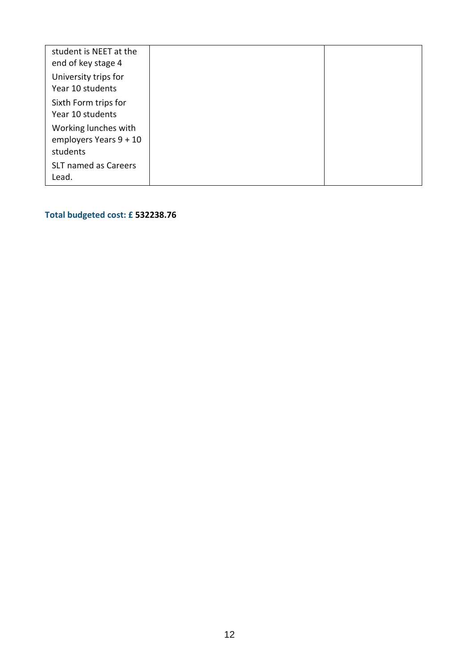| student is NEET at the |  |
|------------------------|--|
| end of key stage 4     |  |
| University trips for   |  |
| Year 10 students       |  |
|                        |  |
| Sixth Form trips for   |  |
| Year 10 students       |  |
| Working lunches with   |  |
| employers Years 9 + 10 |  |
|                        |  |
| students               |  |
| SLT named as Careers   |  |
| Lead.                  |  |
|                        |  |

**Total budgeted cost: £ 532238.76**